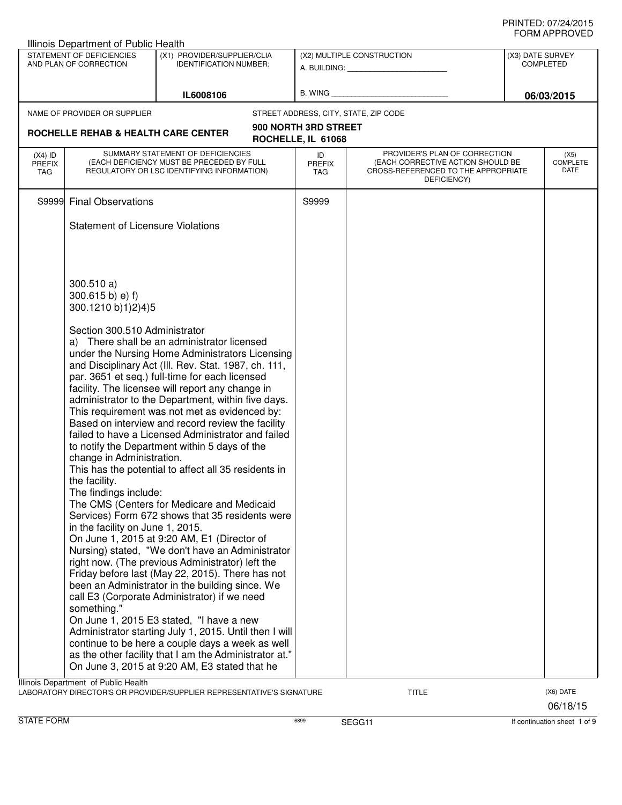| Illinois Department of Public Health |                                                                                                                                     |                                                                                                                                                           |                                            |                                                                                                                          |                                      |                          |
|--------------------------------------|-------------------------------------------------------------------------------------------------------------------------------------|-----------------------------------------------------------------------------------------------------------------------------------------------------------|--------------------------------------------|--------------------------------------------------------------------------------------------------------------------------|--------------------------------------|--------------------------|
|                                      | STATEMENT OF DEFICIENCIES<br>AND PLAN OF CORRECTION                                                                                 | (X1) PROVIDER/SUPPLIER/CLIA<br><b>IDENTIFICATION NUMBER:</b>                                                                                              |                                            | (X2) MULTIPLE CONSTRUCTION                                                                                               | (X3) DATE SURVEY<br><b>COMPLETED</b> |                          |
|                                      |                                                                                                                                     | IL6008106                                                                                                                                                 |                                            |                                                                                                                          |                                      | 06/03/2015               |
|                                      | NAME OF PROVIDER OR SUPPLIER                                                                                                        |                                                                                                                                                           |                                            | STREET ADDRESS, CITY, STATE, ZIP CODE                                                                                    |                                      |                          |
|                                      | <b>ROCHELLE REHAB &amp; HEALTH CARE CENTER</b>                                                                                      |                                                                                                                                                           | 900 NORTH 3RD STREET<br>ROCHELLE, IL 61068 |                                                                                                                          |                                      |                          |
| $(X4)$ ID<br><b>PREFIX</b><br>TAG    |                                                                                                                                     | SUMMARY STATEMENT OF DEFICIENCIES<br>(EACH DEFICIENCY MUST BE PRECEDED BY FULL<br>REGULATORY OR LSC IDENTIFYING INFORMATION)                              | ID<br><b>PREFIX</b><br>TAG                 | PROVIDER'S PLAN OF CORRECTION<br>(EACH CORRECTIVE ACTION SHOULD BE<br>CROSS-REFERENCED TO THE APPROPRIATE<br>DEFICIENCY) |                                      | (X5)<br>COMPLETE<br>DATE |
| S9999                                | <b>Final Observations</b>                                                                                                           |                                                                                                                                                           | S9999                                      |                                                                                                                          |                                      |                          |
|                                      | <b>Statement of Licensure Violations</b>                                                                                            |                                                                                                                                                           |                                            |                                                                                                                          |                                      |                          |
|                                      |                                                                                                                                     |                                                                                                                                                           |                                            |                                                                                                                          |                                      |                          |
|                                      | 300.510 a)<br>$300.615 b$ ) e) f)<br>300.1210 b)1)2)4)5                                                                             |                                                                                                                                                           |                                            |                                                                                                                          |                                      |                          |
|                                      | Section 300.510 Administrator                                                                                                       | a) There shall be an administrator licensed                                                                                                               |                                            |                                                                                                                          |                                      |                          |
|                                      |                                                                                                                                     | under the Nursing Home Administrators Licensing<br>and Disciplinary Act (III. Rev. Stat. 1987, ch. 111,<br>par. 3651 et seq.) full-time for each licensed |                                            |                                                                                                                          |                                      |                          |
|                                      |                                                                                                                                     | facility. The licensee will report any change in<br>administrator to the Department, within five days.                                                    |                                            |                                                                                                                          |                                      |                          |
|                                      |                                                                                                                                     | This requirement was not met as evidenced by:<br>Based on interview and record review the facility                                                        |                                            |                                                                                                                          |                                      |                          |
|                                      | change in Administration.                                                                                                           | failed to have a Licensed Administrator and failed<br>to notify the Department within 5 days of the                                                       |                                            |                                                                                                                          |                                      |                          |
|                                      | the facility.                                                                                                                       | This has the potential to affect all 35 residents in                                                                                                      |                                            |                                                                                                                          |                                      |                          |
|                                      | The findings include:                                                                                                               | The CMS (Centers for Medicare and Medicaid                                                                                                                |                                            |                                                                                                                          |                                      |                          |
|                                      | in the facility on June 1, 2015.                                                                                                    | Services) Form 672 shows that 35 residents were<br>On June 1, 2015 at 9:20 AM, E1 (Director of                                                            |                                            |                                                                                                                          |                                      |                          |
|                                      |                                                                                                                                     | Nursing) stated, "We don't have an Administrator<br>right now. (The previous Administrator) left the                                                      |                                            |                                                                                                                          |                                      |                          |
|                                      |                                                                                                                                     | Friday before last (May 22, 2015). There has not<br>been an Administrator in the building since. We                                                       |                                            |                                                                                                                          |                                      |                          |
|                                      | something."                                                                                                                         | call E3 (Corporate Administrator) if we need                                                                                                              |                                            |                                                                                                                          |                                      |                          |
|                                      |                                                                                                                                     | On June 1, 2015 E3 stated, "I have a new<br>Administrator starting July 1, 2015. Until then I will<br>continue to be here a couple days a week as well    |                                            |                                                                                                                          |                                      |                          |
|                                      |                                                                                                                                     | as the other facility that I am the Administrator at."<br>On June 3, 2015 at 9:20 AM, E3 stated that he                                                   |                                            |                                                                                                                          |                                      |                          |
|                                      | Illinois Department of Public Health<br>LABORATORY DIRECTOR'S OR PROVIDER/SUPPLIER REPRESENTATIVE'S SIGNATURE<br>(X6) DATE<br>TITLE |                                                                                                                                                           |                                            |                                                                                                                          |                                      |                          |

STATE FORM **EXAMPLE FORM** 6899 **SEGG11 SEGG11 SEGG11 If continuation sheet 1 of 9** 

06/18/15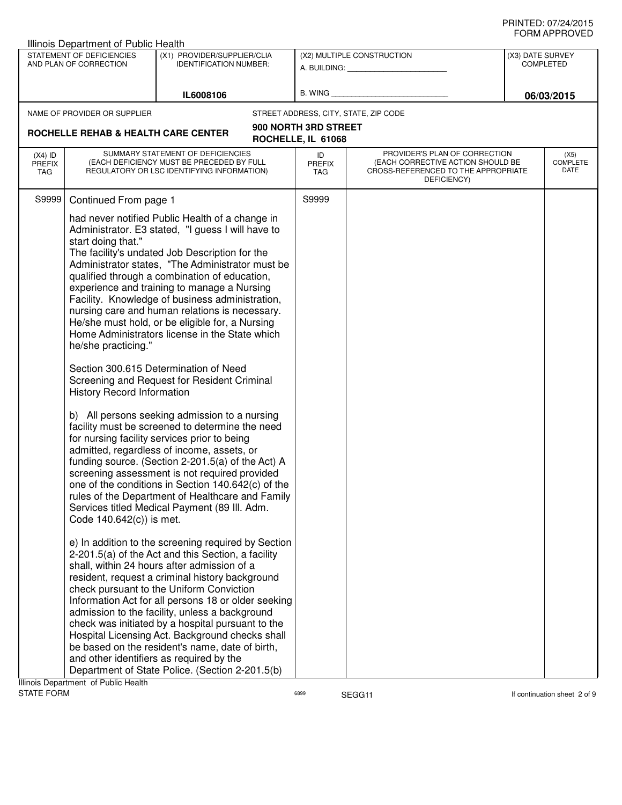|                            | Illinois Department of Public Health                                                                       |                                                                                                                                                                                                                                                                                                                                                                                                                                                                                                                                                                                                                                                                                                                                                                                                                                                                                                                                                                                                                                                                                                                                                                                                                                                                                                                                                                                                                                                                                                                                                                                                                                                            |                                       |                                                                                                                          |  |                                      |
|----------------------------|------------------------------------------------------------------------------------------------------------|------------------------------------------------------------------------------------------------------------------------------------------------------------------------------------------------------------------------------------------------------------------------------------------------------------------------------------------------------------------------------------------------------------------------------------------------------------------------------------------------------------------------------------------------------------------------------------------------------------------------------------------------------------------------------------------------------------------------------------------------------------------------------------------------------------------------------------------------------------------------------------------------------------------------------------------------------------------------------------------------------------------------------------------------------------------------------------------------------------------------------------------------------------------------------------------------------------------------------------------------------------------------------------------------------------------------------------------------------------------------------------------------------------------------------------------------------------------------------------------------------------------------------------------------------------------------------------------------------------------------------------------------------------|---------------------------------------|--------------------------------------------------------------------------------------------------------------------------|--|--------------------------------------|
|                            | STATEMENT OF DEFICIENCIES<br>AND PLAN OF CORRECTION                                                        | (X1) PROVIDER/SUPPLIER/CLIA<br><b>IDENTIFICATION NUMBER:</b>                                                                                                                                                                                                                                                                                                                                                                                                                                                                                                                                                                                                                                                                                                                                                                                                                                                                                                                                                                                                                                                                                                                                                                                                                                                                                                                                                                                                                                                                                                                                                                                               |                                       | (X2) MULTIPLE CONSTRUCTION<br>A. BUILDING: A. BUILDING:                                                                  |  | (X3) DATE SURVEY<br><b>COMPLETED</b> |
|                            |                                                                                                            | IL6008106                                                                                                                                                                                                                                                                                                                                                                                                                                                                                                                                                                                                                                                                                                                                                                                                                                                                                                                                                                                                                                                                                                                                                                                                                                                                                                                                                                                                                                                                                                                                                                                                                                                  | B. WING                               |                                                                                                                          |  |                                      |
|                            | NAME OF PROVIDER OR SUPPLIER                                                                               |                                                                                                                                                                                                                                                                                                                                                                                                                                                                                                                                                                                                                                                                                                                                                                                                                                                                                                                                                                                                                                                                                                                                                                                                                                                                                                                                                                                                                                                                                                                                                                                                                                                            | STREET ADDRESS, CITY, STATE, ZIP CODE |                                                                                                                          |  |                                      |
|                            |                                                                                                            |                                                                                                                                                                                                                                                                                                                                                                                                                                                                                                                                                                                                                                                                                                                                                                                                                                                                                                                                                                                                                                                                                                                                                                                                                                                                                                                                                                                                                                                                                                                                                                                                                                                            | 900 NORTH 3RD STREET                  |                                                                                                                          |  |                                      |
|                            | ROCHELLE REHAB & HEALTH CARE CENTER                                                                        |                                                                                                                                                                                                                                                                                                                                                                                                                                                                                                                                                                                                                                                                                                                                                                                                                                                                                                                                                                                                                                                                                                                                                                                                                                                                                                                                                                                                                                                                                                                                                                                                                                                            | ROCHELLE, IL 61068                    |                                                                                                                          |  |                                      |
| $(X4)$ ID<br>PREFIX<br>TAG |                                                                                                            | SUMMARY STATEMENT OF DEFICIENCIES<br>(EACH DEFICIENCY MUST BE PRECEDED BY FULL<br>REGULATORY OR LSC IDENTIFYING INFORMATION)                                                                                                                                                                                                                                                                                                                                                                                                                                                                                                                                                                                                                                                                                                                                                                                                                                                                                                                                                                                                                                                                                                                                                                                                                                                                                                                                                                                                                                                                                                                               | ID<br><b>PREFIX</b><br><b>TAG</b>     | PROVIDER'S PLAN OF CORRECTION<br>(EACH CORRECTIVE ACTION SHOULD BE<br>CROSS-REFERENCED TO THE APPROPRIATE<br>DEFICIENCY) |  | (X5)<br><b>COMPLETE</b><br>DATE      |
| S9999                      | Continued From page 1                                                                                      |                                                                                                                                                                                                                                                                                                                                                                                                                                                                                                                                                                                                                                                                                                                                                                                                                                                                                                                                                                                                                                                                                                                                                                                                                                                                                                                                                                                                                                                                                                                                                                                                                                                            | S9999                                 |                                                                                                                          |  |                                      |
|                            | start doing that."<br>he/she practicing."<br><b>History Record Information</b><br>Code 140.642(c)) is met. | had never notified Public Health of a change in<br>Administrator. E3 stated, "I guess I will have to<br>The facility's undated Job Description for the<br>Administrator states, "The Administrator must be<br>qualified through a combination of education,<br>experience and training to manage a Nursing<br>Facility. Knowledge of business administration,<br>nursing care and human relations is necessary.<br>He/she must hold, or be eligible for, a Nursing<br>Home Administrators license in the State which<br>Section 300.615 Determination of Need<br>Screening and Request for Resident Criminal<br>b) All persons seeking admission to a nursing<br>facility must be screened to determine the need<br>for nursing facility services prior to being<br>admitted, regardless of income, assets, or<br>funding source. (Section 2-201.5(a) of the Act) A<br>screening assessment is not required provided<br>one of the conditions in Section 140.642(c) of the<br>rules of the Department of Healthcare and Family<br>Services titled Medical Payment (89 III. Adm.<br>e) In addition to the screening required by Section<br>2-201.5(a) of the Act and this Section, a facility<br>shall, within 24 hours after admission of a<br>resident, request a criminal history background<br>check pursuant to the Uniform Conviction<br>Information Act for all persons 18 or older seeking<br>admission to the facility, unless a background<br>check was initiated by a hospital pursuant to the<br>Hospital Licensing Act. Background checks shall<br>be based on the resident's name, date of birth,<br>and other identifiers as required by the |                                       |                                                                                                                          |  |                                      |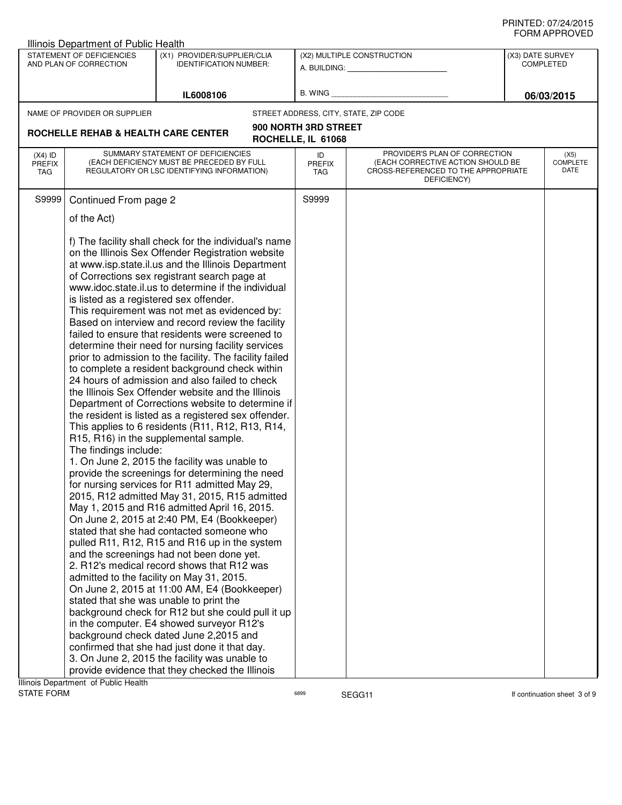| <b>Illinois Department of Public Health</b> |                                                                                                                            |                                                                                                                                                                                                                                                                                                                                                                                                                                                                                                                                                                                                                                                                                                                                                                                                                                                                                                                                                                                                                                                                                                                                                                                                                                                                                                                                                                                                                                                                                                                                                                                                                                                                                                                                                                                                                    |                                   |                                                                                                                          |                                      |                                 |
|---------------------------------------------|----------------------------------------------------------------------------------------------------------------------------|--------------------------------------------------------------------------------------------------------------------------------------------------------------------------------------------------------------------------------------------------------------------------------------------------------------------------------------------------------------------------------------------------------------------------------------------------------------------------------------------------------------------------------------------------------------------------------------------------------------------------------------------------------------------------------------------------------------------------------------------------------------------------------------------------------------------------------------------------------------------------------------------------------------------------------------------------------------------------------------------------------------------------------------------------------------------------------------------------------------------------------------------------------------------------------------------------------------------------------------------------------------------------------------------------------------------------------------------------------------------------------------------------------------------------------------------------------------------------------------------------------------------------------------------------------------------------------------------------------------------------------------------------------------------------------------------------------------------------------------------------------------------------------------------------------------------|-----------------------------------|--------------------------------------------------------------------------------------------------------------------------|--------------------------------------|---------------------------------|
|                                             | STATEMENT OF DEFICIENCIES<br>AND PLAN OF CORRECTION                                                                        | (X1) PROVIDER/SUPPLIER/CLIA<br><b>IDENTIFICATION NUMBER:</b>                                                                                                                                                                                                                                                                                                                                                                                                                                                                                                                                                                                                                                                                                                                                                                                                                                                                                                                                                                                                                                                                                                                                                                                                                                                                                                                                                                                                                                                                                                                                                                                                                                                                                                                                                       |                                   | (X2) MULTIPLE CONSTRUCTION<br>A. BUILDING: A. BUILDING:                                                                  | (X3) DATE SURVEY<br><b>COMPLETED</b> |                                 |
|                                             |                                                                                                                            |                                                                                                                                                                                                                                                                                                                                                                                                                                                                                                                                                                                                                                                                                                                                                                                                                                                                                                                                                                                                                                                                                                                                                                                                                                                                                                                                                                                                                                                                                                                                                                                                                                                                                                                                                                                                                    |                                   |                                                                                                                          |                                      |                                 |
|                                             |                                                                                                                            | IL6008106                                                                                                                                                                                                                                                                                                                                                                                                                                                                                                                                                                                                                                                                                                                                                                                                                                                                                                                                                                                                                                                                                                                                                                                                                                                                                                                                                                                                                                                                                                                                                                                                                                                                                                                                                                                                          | B. WING                           |                                                                                                                          |                                      | 06/03/2015                      |
|                                             | NAME OF PROVIDER OR SUPPLIER                                                                                               |                                                                                                                                                                                                                                                                                                                                                                                                                                                                                                                                                                                                                                                                                                                                                                                                                                                                                                                                                                                                                                                                                                                                                                                                                                                                                                                                                                                                                                                                                                                                                                                                                                                                                                                                                                                                                    |                                   | STREET ADDRESS, CITY, STATE, ZIP CODE                                                                                    |                                      |                                 |
| ROCHELLE REHAB & HEALTH CARE CENTER         |                                                                                                                            | 900 NORTH 3RD STREET                                                                                                                                                                                                                                                                                                                                                                                                                                                                                                                                                                                                                                                                                                                                                                                                                                                                                                                                                                                                                                                                                                                                                                                                                                                                                                                                                                                                                                                                                                                                                                                                                                                                                                                                                                                               |                                   |                                                                                                                          |                                      |                                 |
|                                             |                                                                                                                            | ROCHELLE, IL 61068                                                                                                                                                                                                                                                                                                                                                                                                                                                                                                                                                                                                                                                                                                                                                                                                                                                                                                                                                                                                                                                                                                                                                                                                                                                                                                                                                                                                                                                                                                                                                                                                                                                                                                                                                                                                 |                                   |                                                                                                                          |                                      |                                 |
| $(X4)$ ID<br><b>PREFIX</b><br>TAG           |                                                                                                                            | SUMMARY STATEMENT OF DEFICIENCIES<br>(EACH DEFICIENCY MUST BE PRECEDED BY FULL<br>REGULATORY OR LSC IDENTIFYING INFORMATION)                                                                                                                                                                                                                                                                                                                                                                                                                                                                                                                                                                                                                                                                                                                                                                                                                                                                                                                                                                                                                                                                                                                                                                                                                                                                                                                                                                                                                                                                                                                                                                                                                                                                                       | ID<br><b>PREFIX</b><br><b>TAG</b> | PROVIDER'S PLAN OF CORRECTION<br>(EACH CORRECTIVE ACTION SHOULD BE<br>CROSS-REFERENCED TO THE APPROPRIATE<br>DEFICIENCY) |                                      | (X5)<br><b>COMPLETE</b><br>DATE |
| S9999                                       | Continued From page 2                                                                                                      |                                                                                                                                                                                                                                                                                                                                                                                                                                                                                                                                                                                                                                                                                                                                                                                                                                                                                                                                                                                                                                                                                                                                                                                                                                                                                                                                                                                                                                                                                                                                                                                                                                                                                                                                                                                                                    | S9999                             |                                                                                                                          |                                      |                                 |
|                                             |                                                                                                                            |                                                                                                                                                                                                                                                                                                                                                                                                                                                                                                                                                                                                                                                                                                                                                                                                                                                                                                                                                                                                                                                                                                                                                                                                                                                                                                                                                                                                                                                                                                                                                                                                                                                                                                                                                                                                                    |                                   |                                                                                                                          |                                      |                                 |
|                                             | of the Act)<br>is listed as a registered sex offender.<br>The findings include:<br>stated that she was unable to print the | f) The facility shall check for the individual's name<br>on the Illinois Sex Offender Registration website<br>at www.isp.state.il.us and the Illinois Department<br>of Corrections sex registrant search page at<br>www.idoc.state.il.us to determine if the individual<br>This requirement was not met as evidenced by:<br>Based on interview and record review the facility<br>failed to ensure that residents were screened to<br>determine their need for nursing facility services<br>prior to admission to the facility. The facility failed<br>to complete a resident background check within<br>24 hours of admission and also failed to check<br>the Illinois Sex Offender website and the Illinois<br>Department of Corrections website to determine if<br>the resident is listed as a registered sex offender.<br>This applies to 6 residents (R11, R12, R13, R14,<br>R15, R16) in the supplemental sample.<br>1. On June 2, 2015 the facility was unable to<br>provide the screenings for determining the need<br>for nursing services for R11 admitted May 29,<br>2015, R12 admitted May 31, 2015, R15 admitted<br>May 1, 2015 and R16 admitted April 16, 2015.<br>On June 2, 2015 at 2:40 PM, E4 (Bookkeeper)<br>stated that she had contacted someone who<br>pulled R11, R12, R15 and R16 up in the system<br>and the screenings had not been done yet.<br>2. R12's medical record shows that R12 was<br>admitted to the facility on May 31, 2015.<br>On June 2, 2015 at 11:00 AM, E4 (Bookkeeper)<br>background check for R12 but she could pull it up<br>in the computer. E4 showed surveyor R12's<br>background check dated June 2,2015 and<br>confirmed that she had just done it that day.<br>3. On June 2, 2015 the facility was unable to<br>provide evidence that they checked the Illinois |                                   |                                                                                                                          |                                      |                                 |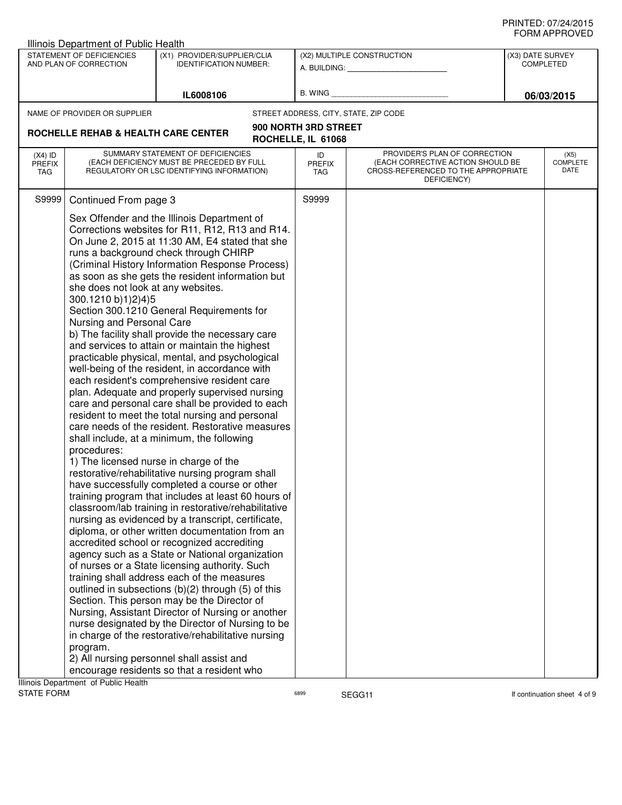|                            | Illinois Department of Public Health |                                                                                                     |                      |                                                    |                  |                              |
|----------------------------|--------------------------------------|-----------------------------------------------------------------------------------------------------|----------------------|----------------------------------------------------|------------------|------------------------------|
|                            | STATEMENT OF DEFICIENCIES            | (X1) PROVIDER/SUPPLIER/CLIA                                                                         |                      | (X2) MULTIPLE CONSTRUCTION                         | (X3) DATE SURVEY |                              |
|                            | AND PLAN OF CORRECTION               | <b>IDENTIFICATION NUMBER:</b>                                                                       |                      | A. BUILDING: A. BUILDING:                          |                  | <b>COMPLETED</b>             |
|                            |                                      |                                                                                                     |                      |                                                    |                  |                              |
|                            |                                      | IL6008106                                                                                           | B. WING              |                                                    |                  | 06/03/2015                   |
|                            | NAME OF PROVIDER OR SUPPLIER         |                                                                                                     |                      | STREET ADDRESS, CITY, STATE, ZIP CODE              |                  |                              |
|                            |                                      |                                                                                                     | 900 NORTH 3RD STREET |                                                    |                  |                              |
|                            | ROCHELLE REHAB & HEALTH CARE CENTER  |                                                                                                     | ROCHELLE, IL 61068   |                                                    |                  |                              |
|                            |                                      | SUMMARY STATEMENT OF DEFICIENCIES                                                                   |                      | PROVIDER'S PLAN OF CORRECTION                      |                  | (X5)                         |
| $(X4)$ ID<br><b>PREFIX</b> |                                      | (EACH DEFICIENCY MUST BE PRECEDED BY FULL                                                           | ID<br><b>PREFIX</b>  | (EACH CORRECTIVE ACTION SHOULD BE                  |                  | <b>COMPLETE</b>              |
| TAG                        |                                      | REGULATORY OR LSC IDENTIFYING INFORMATION)                                                          | <b>TAG</b>           | CROSS-REFERENCED TO THE APPROPRIATE<br>DEFICIENCY) |                  | DATE                         |
|                            |                                      |                                                                                                     |                      |                                                    |                  |                              |
| S9999                      | Continued From page 3                |                                                                                                     | S9999                |                                                    |                  |                              |
|                            |                                      | Sex Offender and the Illinois Department of                                                         |                      |                                                    |                  |                              |
|                            |                                      | Corrections websites for R11, R12, R13 and R14.                                                     |                      |                                                    |                  |                              |
|                            |                                      | On June 2, 2015 at 11:30 AM, E4 stated that she                                                     |                      |                                                    |                  |                              |
|                            |                                      | runs a background check through CHIRP                                                               |                      |                                                    |                  |                              |
|                            |                                      | (Criminal History Information Response Process)                                                     |                      |                                                    |                  |                              |
|                            | she does not look at any websites.   | as soon as she gets the resident information but                                                    |                      |                                                    |                  |                              |
|                            | 300.1210 b)1)2)4)5                   |                                                                                                     |                      |                                                    |                  |                              |
|                            |                                      | Section 300.1210 General Requirements for                                                           |                      |                                                    |                  |                              |
|                            | Nursing and Personal Care            |                                                                                                     |                      |                                                    |                  |                              |
|                            |                                      | b) The facility shall provide the necessary care                                                    |                      |                                                    |                  |                              |
|                            |                                      | and services to attain or maintain the highest                                                      |                      |                                                    |                  |                              |
|                            |                                      | practicable physical, mental, and psychological                                                     |                      |                                                    |                  |                              |
|                            |                                      | well-being of the resident, in accordance with                                                      |                      |                                                    |                  |                              |
|                            |                                      | each resident's comprehensive resident care                                                         |                      |                                                    |                  |                              |
|                            |                                      | plan. Adequate and properly supervised nursing                                                      |                      |                                                    |                  |                              |
|                            |                                      | care and personal care shall be provided to each                                                    |                      |                                                    |                  |                              |
|                            |                                      | resident to meet the total nursing and personal<br>care needs of the resident. Restorative measures |                      |                                                    |                  |                              |
|                            |                                      | shall include, at a minimum, the following                                                          |                      |                                                    |                  |                              |
|                            | procedures:                          |                                                                                                     |                      |                                                    |                  |                              |
|                            |                                      | 1) The licensed nurse in charge of the                                                              |                      |                                                    |                  |                              |
|                            |                                      | restorative/rehabilitative nursing program shall                                                    |                      |                                                    |                  |                              |
|                            |                                      | have successfully completed a course or other                                                       |                      |                                                    |                  |                              |
|                            |                                      | training program that includes at least 60 hours of                                                 |                      |                                                    |                  |                              |
|                            |                                      | classroom/lab training in restorative/rehabilitative                                                |                      |                                                    |                  |                              |
|                            |                                      | nursing as evidenced by a transcript, certificate,                                                  |                      |                                                    |                  |                              |
|                            |                                      | diploma, or other written documentation from an                                                     |                      |                                                    |                  |                              |
|                            |                                      | accredited school or recognized accrediting                                                         |                      |                                                    |                  |                              |
|                            |                                      | agency such as a State or National organization                                                     |                      |                                                    |                  |                              |
|                            |                                      | of nurses or a State licensing authority. Such<br>training shall address each of the measures       |                      |                                                    |                  |                              |
|                            |                                      | outlined in subsections (b)(2) through (5) of this                                                  |                      |                                                    |                  |                              |
|                            |                                      | Section. This person may be the Director of                                                         |                      |                                                    |                  |                              |
|                            |                                      | Nursing, Assistant Director of Nursing or another                                                   |                      |                                                    |                  |                              |
|                            |                                      | nurse designated by the Director of Nursing to be                                                   |                      |                                                    |                  |                              |
|                            |                                      | in charge of the restorative/rehabilitative nursing                                                 |                      |                                                    |                  |                              |
|                            | program.                             |                                                                                                     |                      |                                                    |                  |                              |
|                            |                                      | 2) All nursing personnel shall assist and                                                           |                      |                                                    |                  |                              |
|                            |                                      | encourage residents so that a resident who                                                          |                      |                                                    |                  |                              |
|                            | Illinois Department of Public Health |                                                                                                     |                      |                                                    |                  |                              |
| <b>STATE FORM</b>          |                                      |                                                                                                     | 6899                 | SEGG11                                             |                  | If continuation sheet 4 of 9 |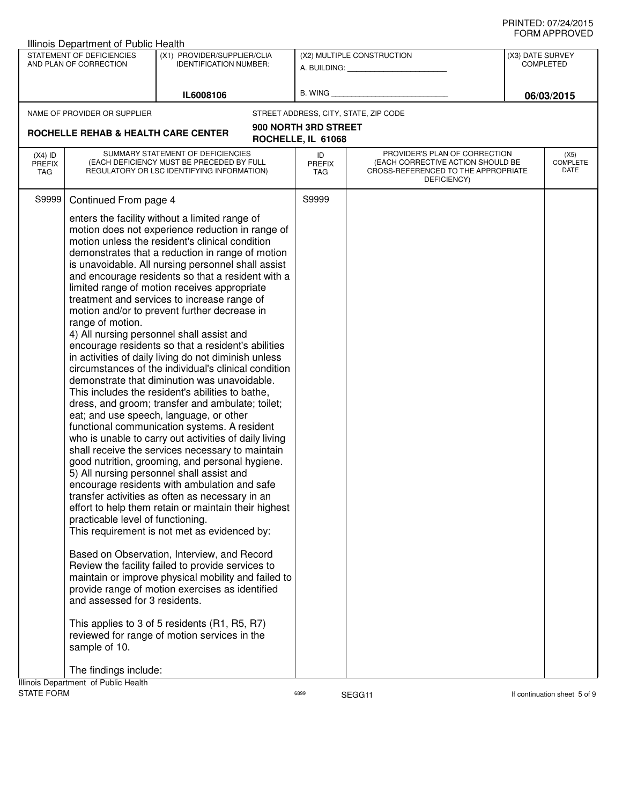|                            | <b>Illinois Department of Public Health</b> |                                                                                                          |                      |                                                                    |                  |                              |
|----------------------------|---------------------------------------------|----------------------------------------------------------------------------------------------------------|----------------------|--------------------------------------------------------------------|------------------|------------------------------|
|                            | STATEMENT OF DEFICIENCIES                   | (X1) PROVIDER/SUPPLIER/CLIA                                                                              |                      | (X2) MULTIPLE CONSTRUCTION                                         | (X3) DATE SURVEY |                              |
|                            | AND PLAN OF CORRECTION                      | <b>IDENTIFICATION NUMBER:</b>                                                                            |                      | A. BUILDING: A. BUILDING:                                          |                  | <b>COMPLETED</b>             |
|                            |                                             |                                                                                                          |                      |                                                                    |                  |                              |
|                            |                                             | IL6008106                                                                                                | B. WING              |                                                                    |                  | 06/03/2015                   |
|                            | NAME OF PROVIDER OR SUPPLIER                |                                                                                                          |                      | STREET ADDRESS, CITY, STATE, ZIP CODE                              |                  |                              |
|                            | ROCHELLE REHAB & HEALTH CARE CENTER         |                                                                                                          | 900 NORTH 3RD STREET |                                                                    |                  |                              |
|                            |                                             |                                                                                                          | ROCHELLE, IL 61068   |                                                                    |                  |                              |
| $(X4)$ ID<br><b>PREFIX</b> |                                             | SUMMARY STATEMENT OF DEFICIENCIES<br>(EACH DEFICIENCY MUST BE PRECEDED BY FULL                           | ID<br><b>PREFIX</b>  | PROVIDER'S PLAN OF CORRECTION<br>(EACH CORRECTIVE ACTION SHOULD BE |                  | (X5)<br><b>COMPLETE</b>      |
| TAG                        |                                             | REGULATORY OR LSC IDENTIFYING INFORMATION)                                                               | TAG                  | CROSS-REFERENCED TO THE APPROPRIATE                                |                  | DATE                         |
|                            |                                             |                                                                                                          |                      | DEFICIENCY)                                                        |                  |                              |
| S9999                      | Continued From page 4                       |                                                                                                          | S9999                |                                                                    |                  |                              |
|                            |                                             | enters the facility without a limited range of                                                           |                      |                                                                    |                  |                              |
|                            |                                             | motion does not experience reduction in range of                                                         |                      |                                                                    |                  |                              |
|                            |                                             | motion unless the resident's clinical condition                                                          |                      |                                                                    |                  |                              |
|                            |                                             | demonstrates that a reduction in range of motion                                                         |                      |                                                                    |                  |                              |
|                            |                                             | is unavoidable. All nursing personnel shall assist<br>and encourage residents so that a resident with a  |                      |                                                                    |                  |                              |
|                            |                                             | limited range of motion receives appropriate                                                             |                      |                                                                    |                  |                              |
|                            |                                             | treatment and services to increase range of                                                              |                      |                                                                    |                  |                              |
|                            |                                             | motion and/or to prevent further decrease in                                                             |                      |                                                                    |                  |                              |
|                            | range of motion.                            |                                                                                                          |                      |                                                                    |                  |                              |
|                            |                                             | 4) All nursing personnel shall assist and<br>encourage residents so that a resident's abilities          |                      |                                                                    |                  |                              |
|                            |                                             | in activities of daily living do not diminish unless                                                     |                      |                                                                    |                  |                              |
|                            |                                             | circumstances of the individual's clinical condition                                                     |                      |                                                                    |                  |                              |
|                            |                                             | demonstrate that diminution was unavoidable.                                                             |                      |                                                                    |                  |                              |
|                            |                                             | This includes the resident's abilities to bathe,                                                         |                      |                                                                    |                  |                              |
|                            |                                             | dress, and groom; transfer and ambulate; toilet;                                                         |                      |                                                                    |                  |                              |
|                            |                                             | eat; and use speech, language, or other<br>functional communication systems. A resident                  |                      |                                                                    |                  |                              |
|                            |                                             | who is unable to carry out activities of daily living                                                    |                      |                                                                    |                  |                              |
|                            |                                             | shall receive the services necessary to maintain                                                         |                      |                                                                    |                  |                              |
|                            |                                             | good nutrition, grooming, and personal hygiene.                                                          |                      |                                                                    |                  |                              |
|                            |                                             | 5) All nursing personnel shall assist and                                                                |                      |                                                                    |                  |                              |
|                            |                                             | encourage residents with ambulation and safe                                                             |                      |                                                                    |                  |                              |
|                            |                                             | transfer activities as often as necessary in an<br>effort to help them retain or maintain their highest  |                      |                                                                    |                  |                              |
|                            | practicable level of functioning.           |                                                                                                          |                      |                                                                    |                  |                              |
|                            |                                             | This requirement is not met as evidenced by:                                                             |                      |                                                                    |                  |                              |
|                            |                                             |                                                                                                          |                      |                                                                    |                  |                              |
|                            |                                             | Based on Observation, Interview, and Record                                                              |                      |                                                                    |                  |                              |
|                            |                                             | Review the facility failed to provide services to<br>maintain or improve physical mobility and failed to |                      |                                                                    |                  |                              |
|                            |                                             | provide range of motion exercises as identified                                                          |                      |                                                                    |                  |                              |
|                            | and assessed for 3 residents.               |                                                                                                          |                      |                                                                    |                  |                              |
|                            |                                             |                                                                                                          |                      |                                                                    |                  |                              |
|                            |                                             | This applies to 3 of 5 residents (R1, R5, R7)                                                            |                      |                                                                    |                  |                              |
|                            | sample of 10.                               | reviewed for range of motion services in the                                                             |                      |                                                                    |                  |                              |
|                            |                                             |                                                                                                          |                      |                                                                    |                  |                              |
|                            | The findings include:                       |                                                                                                          |                      |                                                                    |                  |                              |
|                            | Illinois Department of Public Health        |                                                                                                          |                      |                                                                    |                  |                              |
| <b>STATE FORM</b>          |                                             |                                                                                                          | 6899                 | SEGG11                                                             |                  | If continuation sheet 5 of 9 |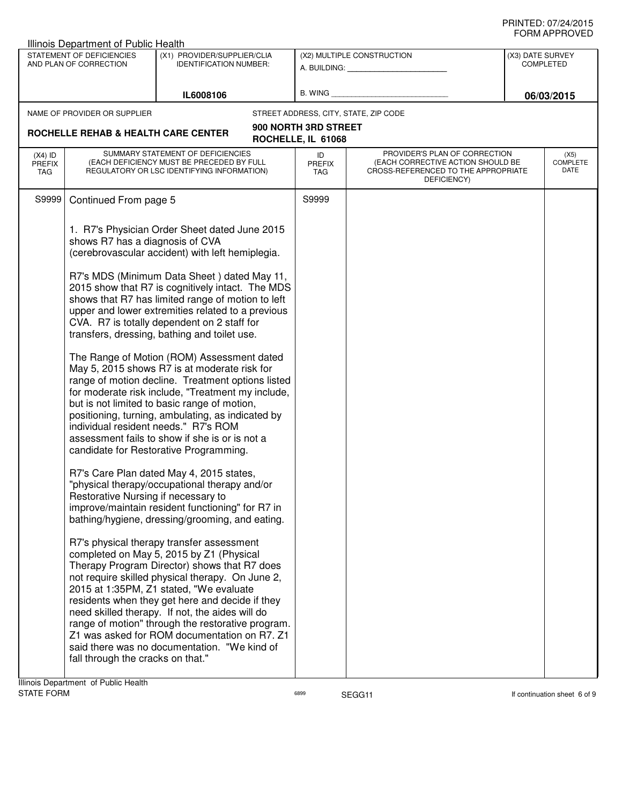| STATEMENT OF DEFICIENCIES<br>(X1) PROVIDER/SUPPLIER/CLIA<br>(X2) MULTIPLE CONSTRUCTION<br>AND PLAN OF CORRECTION<br><b>IDENTIFICATION NUMBER:</b><br>A. BUILDING: A. BUILDING:                                                                                                                                                                                                                                                                                                                                                                                                                                                                                                                                                                                                                                                                                                                                                                                                                                                                                                                                                                                                                                                                                                                                                                                                                                                                                                                                                                                                                                                                                                       | (X3) DATE SURVEY                                                                                                                                            |
|--------------------------------------------------------------------------------------------------------------------------------------------------------------------------------------------------------------------------------------------------------------------------------------------------------------------------------------------------------------------------------------------------------------------------------------------------------------------------------------------------------------------------------------------------------------------------------------------------------------------------------------------------------------------------------------------------------------------------------------------------------------------------------------------------------------------------------------------------------------------------------------------------------------------------------------------------------------------------------------------------------------------------------------------------------------------------------------------------------------------------------------------------------------------------------------------------------------------------------------------------------------------------------------------------------------------------------------------------------------------------------------------------------------------------------------------------------------------------------------------------------------------------------------------------------------------------------------------------------------------------------------------------------------------------------------|-------------------------------------------------------------------------------------------------------------------------------------------------------------|
|                                                                                                                                                                                                                                                                                                                                                                                                                                                                                                                                                                                                                                                                                                                                                                                                                                                                                                                                                                                                                                                                                                                                                                                                                                                                                                                                                                                                                                                                                                                                                                                                                                                                                      | <b>COMPLETED</b>                                                                                                                                            |
|                                                                                                                                                                                                                                                                                                                                                                                                                                                                                                                                                                                                                                                                                                                                                                                                                                                                                                                                                                                                                                                                                                                                                                                                                                                                                                                                                                                                                                                                                                                                                                                                                                                                                      |                                                                                                                                                             |
| B. WING<br>IL6008106                                                                                                                                                                                                                                                                                                                                                                                                                                                                                                                                                                                                                                                                                                                                                                                                                                                                                                                                                                                                                                                                                                                                                                                                                                                                                                                                                                                                                                                                                                                                                                                                                                                                 | 06/03/2015                                                                                                                                                  |
| NAME OF PROVIDER OR SUPPLIER<br>STREET ADDRESS, CITY, STATE, ZIP CODE                                                                                                                                                                                                                                                                                                                                                                                                                                                                                                                                                                                                                                                                                                                                                                                                                                                                                                                                                                                                                                                                                                                                                                                                                                                                                                                                                                                                                                                                                                                                                                                                                |                                                                                                                                                             |
| 900 NORTH 3RD STREET<br>ROCHELLE REHAB & HEALTH CARE CENTER                                                                                                                                                                                                                                                                                                                                                                                                                                                                                                                                                                                                                                                                                                                                                                                                                                                                                                                                                                                                                                                                                                                                                                                                                                                                                                                                                                                                                                                                                                                                                                                                                          |                                                                                                                                                             |
| ROCHELLE, IL 61068                                                                                                                                                                                                                                                                                                                                                                                                                                                                                                                                                                                                                                                                                                                                                                                                                                                                                                                                                                                                                                                                                                                                                                                                                                                                                                                                                                                                                                                                                                                                                                                                                                                                   |                                                                                                                                                             |
| SUMMARY STATEMENT OF DEFICIENCIES<br>$(X4)$ ID<br>ID<br>(EACH DEFICIENCY MUST BE PRECEDED BY FULL<br><b>PREFIX</b><br><b>PREFIX</b><br>REGULATORY OR LSC IDENTIFYING INFORMATION)<br>TAG<br><b>TAG</b>                                                                                                                                                                                                                                                                                                                                                                                                                                                                                                                                                                                                                                                                                                                                                                                                                                                                                                                                                                                                                                                                                                                                                                                                                                                                                                                                                                                                                                                                               | PROVIDER'S PLAN OF CORRECTION<br>(X5)<br><b>COMPLETE</b><br>(EACH CORRECTIVE ACTION SHOULD BE<br>DATE<br>CROSS-REFERENCED TO THE APPROPRIATE<br>DEFICIENCY) |
| S9999<br>S9999<br>Continued From page 5                                                                                                                                                                                                                                                                                                                                                                                                                                                                                                                                                                                                                                                                                                                                                                                                                                                                                                                                                                                                                                                                                                                                                                                                                                                                                                                                                                                                                                                                                                                                                                                                                                              |                                                                                                                                                             |
| 1. R7's Physician Order Sheet dated June 2015<br>shows R7 has a diagnosis of CVA<br>(cerebrovascular accident) with left hemiplegia.<br>R7's MDS (Minimum Data Sheet) dated May 11,<br>2015 show that R7 is cognitively intact. The MDS<br>shows that R7 has limited range of motion to left<br>upper and lower extremities related to a previous<br>CVA. R7 is totally dependent on 2 staff for<br>transfers, dressing, bathing and toilet use.<br>The Range of Motion (ROM) Assessment dated<br>May 5, 2015 shows R7 is at moderate risk for<br>range of motion decline. Treatment options listed<br>for moderate risk include, "Treatment my include,<br>but is not limited to basic range of motion,<br>positioning, turning, ambulating, as indicated by<br>individual resident needs." R7's ROM<br>assessment fails to show if she is or is not a<br>candidate for Restorative Programming.<br>R7's Care Plan dated May 4, 2015 states,<br>"physical therapy/occupational therapy and/or<br>Restorative Nursing if necessary to<br>improve/maintain resident functioning" for R7 in<br>bathing/hygiene, dressing/grooming, and eating.<br>R7's physical therapy transfer assessment<br>completed on May 5, 2015 by Z1 (Physical<br>Therapy Program Director) shows that R7 does<br>not require skilled physical therapy. On June 2,<br>2015 at 1:35PM, Z1 stated, "We evaluate<br>residents when they get here and decide if they<br>need skilled therapy. If not, the aides will do<br>range of motion" through the restorative program.<br>Z1 was asked for ROM documentation on R7. Z1<br>said there was no documentation. "We kind of<br>fall through the cracks on that." |                                                                                                                                                             |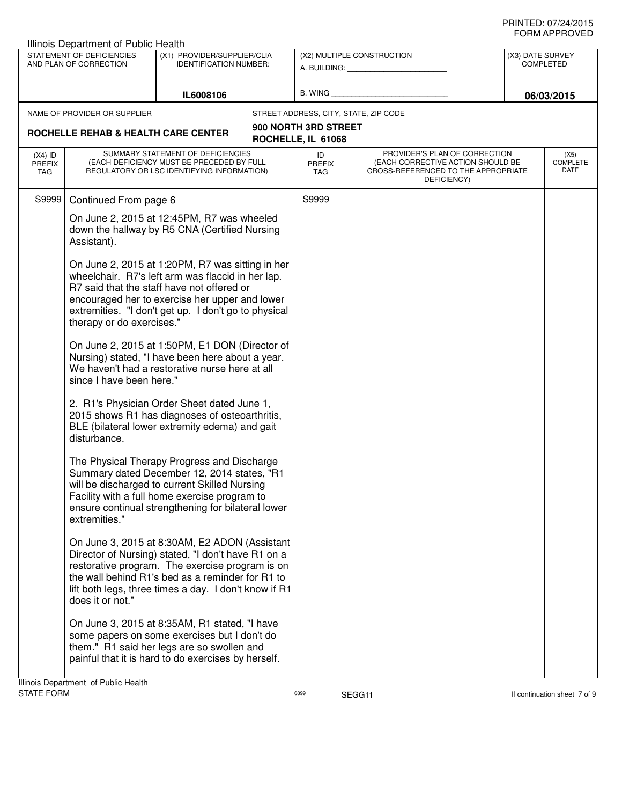|                                     | Illinois Department of Public Health                |                                                                                                                                                                                                                                                                     |                            |                                                                                                                          |                                      |                                 |
|-------------------------------------|-----------------------------------------------------|---------------------------------------------------------------------------------------------------------------------------------------------------------------------------------------------------------------------------------------------------------------------|----------------------------|--------------------------------------------------------------------------------------------------------------------------|--------------------------------------|---------------------------------|
|                                     | STATEMENT OF DEFICIENCIES<br>AND PLAN OF CORRECTION | (X1) PROVIDER/SUPPLIER/CLIA<br><b>IDENTIFICATION NUMBER:</b>                                                                                                                                                                                                        | (X2) MULTIPLE CONSTRUCTION |                                                                                                                          | (X3) DATE SURVEY<br><b>COMPLETED</b> |                                 |
|                                     |                                                     |                                                                                                                                                                                                                                                                     |                            | A. BUILDING: A. BUILDING:                                                                                                |                                      |                                 |
|                                     |                                                     | IL6008106                                                                                                                                                                                                                                                           | <b>B. WING</b>             |                                                                                                                          |                                      | 06/03/2015                      |
|                                     | NAME OF PROVIDER OR SUPPLIER                        |                                                                                                                                                                                                                                                                     |                            | STREET ADDRESS, CITY, STATE, ZIP CODE                                                                                    |                                      |                                 |
| ROCHELLE REHAB & HEALTH CARE CENTER |                                                     | 900 NORTH 3RD STREET                                                                                                                                                                                                                                                |                            |                                                                                                                          |                                      |                                 |
|                                     |                                                     |                                                                                                                                                                                                                                                                     | ROCHELLE, IL 61068         |                                                                                                                          |                                      |                                 |
| $(X4)$ ID<br><b>PREFIX</b><br>TAG   |                                                     | SUMMARY STATEMENT OF DEFICIENCIES<br>(EACH DEFICIENCY MUST BE PRECEDED BY FULL<br>REGULATORY OR LSC IDENTIFYING INFORMATION)                                                                                                                                        | ID<br><b>PREFIX</b><br>TAG | PROVIDER'S PLAN OF CORRECTION<br>(EACH CORRECTIVE ACTION SHOULD BE<br>CROSS-REFERENCED TO THE APPROPRIATE<br>DEFICIENCY) |                                      | (X5)<br><b>COMPLETE</b><br>DATE |
| S9999                               | Continued From page 6                               |                                                                                                                                                                                                                                                                     | S9999                      |                                                                                                                          |                                      |                                 |
|                                     | Assistant).                                         | On June 2, 2015 at 12:45PM, R7 was wheeled<br>down the hallway by R5 CNA (Certified Nursing                                                                                                                                                                         |                            |                                                                                                                          |                                      |                                 |
|                                     | therapy or do exercises."                           | On June 2, 2015 at 1:20PM, R7 was sitting in her<br>wheelchair. R7's left arm was flaccid in her lap.<br>R7 said that the staff have not offered or<br>encouraged her to exercise her upper and lower<br>extremities. "I don't get up. I don't go to physical       |                            |                                                                                                                          |                                      |                                 |
|                                     | since I have been here."                            | On June 2, 2015 at 1:50PM, E1 DON (Director of<br>Nursing) stated, "I have been here about a year.<br>We haven't had a restorative nurse here at all                                                                                                                |                            |                                                                                                                          |                                      |                                 |
|                                     | disturbance.                                        | 2. R1's Physician Order Sheet dated June 1,<br>2015 shows R1 has diagnoses of osteoarthritis,<br>BLE (bilateral lower extremity edema) and gait                                                                                                                     |                            |                                                                                                                          |                                      |                                 |
|                                     | extremities."                                       | The Physical Therapy Progress and Discharge<br>Summary dated December 12, 2014 states, "R1<br>will be discharged to current Skilled Nursing<br>Facility with a full home exercise program to<br>ensure continual strengthening for bilateral lower                  |                            |                                                                                                                          |                                      |                                 |
|                                     | does it or not."                                    | On June 3, 2015 at 8:30AM, E2 ADON (Assistant<br>Director of Nursing) stated, "I don't have R1 on a<br>restorative program. The exercise program is on<br>the wall behind R1's bed as a reminder for R1 to<br>lift both legs, three times a day. I don't know if R1 |                            |                                                                                                                          |                                      |                                 |
|                                     |                                                     | On June 3, 2015 at 8:35AM, R1 stated, "I have<br>some papers on some exercises but I don't do<br>them." R1 said her legs are so swollen and<br>painful that it is hard to do exercises by herself.                                                                  |                            |                                                                                                                          |                                      |                                 |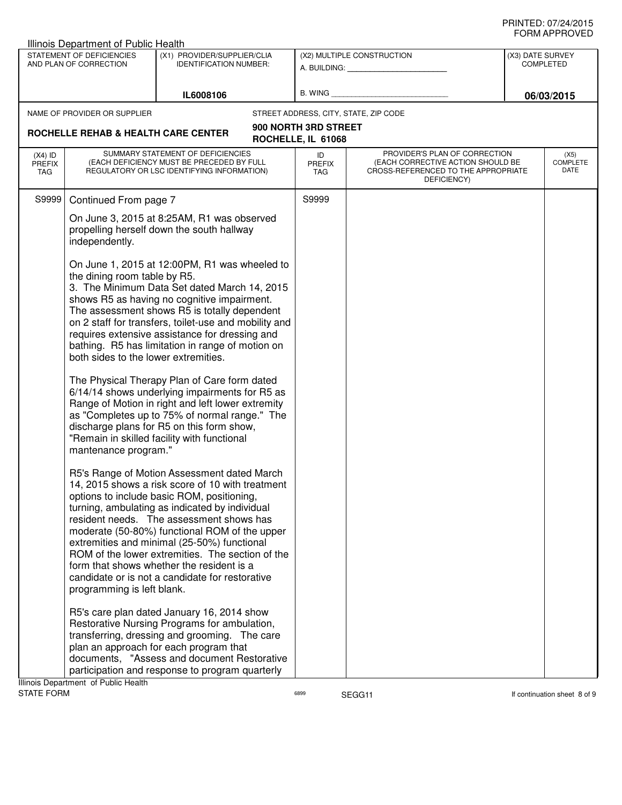| Illinois Department of Public Health                                 |                                                                                                                                                                                                                                                                                                                                                                                                                                                                                                 |                                            |                                                                                                                          |                                      |                                 |
|----------------------------------------------------------------------|-------------------------------------------------------------------------------------------------------------------------------------------------------------------------------------------------------------------------------------------------------------------------------------------------------------------------------------------------------------------------------------------------------------------------------------------------------------------------------------------------|--------------------------------------------|--------------------------------------------------------------------------------------------------------------------------|--------------------------------------|---------------------------------|
| STATEMENT OF DEFICIENCIES<br>AND PLAN OF CORRECTION                  | (X1) PROVIDER/SUPPLIER/CLIA<br><b>IDENTIFICATION NUMBER:</b>                                                                                                                                                                                                                                                                                                                                                                                                                                    |                                            | (X2) MULTIPLE CONSTRUCTION                                                                                               | (X3) DATE SURVEY<br><b>COMPLETED</b> |                                 |
|                                                                      |                                                                                                                                                                                                                                                                                                                                                                                                                                                                                                 |                                            | A. BUILDING: A. BUILDING:                                                                                                |                                      |                                 |
|                                                                      |                                                                                                                                                                                                                                                                                                                                                                                                                                                                                                 | B. WING                                    |                                                                                                                          |                                      |                                 |
|                                                                      | IL6008106                                                                                                                                                                                                                                                                                                                                                                                                                                                                                       |                                            |                                                                                                                          |                                      | 06/03/2015                      |
| NAME OF PROVIDER OR SUPPLIER                                         |                                                                                                                                                                                                                                                                                                                                                                                                                                                                                                 |                                            | STREET ADDRESS, CITY, STATE, ZIP CODE                                                                                    |                                      |                                 |
| ROCHELLE REHAB & HEALTH CARE CENTER                                  |                                                                                                                                                                                                                                                                                                                                                                                                                                                                                                 | 900 NORTH 3RD STREET<br>ROCHELLE, IL 61068 |                                                                                                                          |                                      |                                 |
| $(X4)$ ID<br><b>PREFIX</b><br>TAG                                    | SUMMARY STATEMENT OF DEFICIENCIES<br>(EACH DEFICIENCY MUST BE PRECEDED BY FULL<br>REGULATORY OR LSC IDENTIFYING INFORMATION)                                                                                                                                                                                                                                                                                                                                                                    | ID<br><b>PREFIX</b><br>TAG                 | PROVIDER'S PLAN OF CORRECTION<br>(EACH CORRECTIVE ACTION SHOULD BE<br>CROSS-REFERENCED TO THE APPROPRIATE<br>DEFICIENCY) |                                      | (X5)<br><b>COMPLETE</b><br>DATE |
| S9999<br>Continued From page 7                                       |                                                                                                                                                                                                                                                                                                                                                                                                                                                                                                 | S9999                                      |                                                                                                                          |                                      |                                 |
| independently.                                                       | On June 3, 2015 at 8:25AM, R1 was observed<br>propelling herself down the south hallway                                                                                                                                                                                                                                                                                                                                                                                                         |                                            |                                                                                                                          |                                      |                                 |
| the dining room table by R5.<br>both sides to the lower extremities. | On June 1, 2015 at 12:00PM, R1 was wheeled to<br>3. The Minimum Data Set dated March 14, 2015<br>shows R5 as having no cognitive impairment.<br>The assessment shows R5 is totally dependent<br>on 2 staff for transfers, toilet-use and mobility and<br>requires extensive assistance for dressing and<br>bathing. R5 has limitation in range of motion on                                                                                                                                     |                                            |                                                                                                                          |                                      |                                 |
| mantenance program."                                                 | The Physical Therapy Plan of Care form dated<br>6/14/14 shows underlying impairments for R5 as<br>Range of Motion in right and left lower extremity<br>as "Completes up to 75% of normal range." The<br>discharge plans for R5 on this form show,<br>"Remain in skilled facility with functional                                                                                                                                                                                                |                                            |                                                                                                                          |                                      |                                 |
| programming is left blank.                                           | R5's Range of Motion Assessment dated March<br>14, 2015 shows a risk score of 10 with treatment<br>options to include basic ROM, positioning,<br>turning, ambulating as indicated by individual<br>resident needs. The assessment shows has<br>moderate (50-80%) functional ROM of the upper<br>extremities and minimal (25-50%) functional<br>ROM of the lower extremities. The section of the<br>form that shows whether the resident is a<br>candidate or is not a candidate for restorative |                                            |                                                                                                                          |                                      |                                 |
| Illinois Department of Public Health                                 | R5's care plan dated January 16, 2014 show<br>Restorative Nursing Programs for ambulation,<br>transferring, dressing and grooming. The care<br>plan an approach for each program that<br>documents, "Assess and document Restorative<br>participation and response to program quarterly                                                                                                                                                                                                         |                                            |                                                                                                                          |                                      |                                 |
| <b>STATE FORM</b>                                                    |                                                                                                                                                                                                                                                                                                                                                                                                                                                                                                 | 6899                                       | SEGG11                                                                                                                   |                                      | If continuation sheet 8 of 9    |